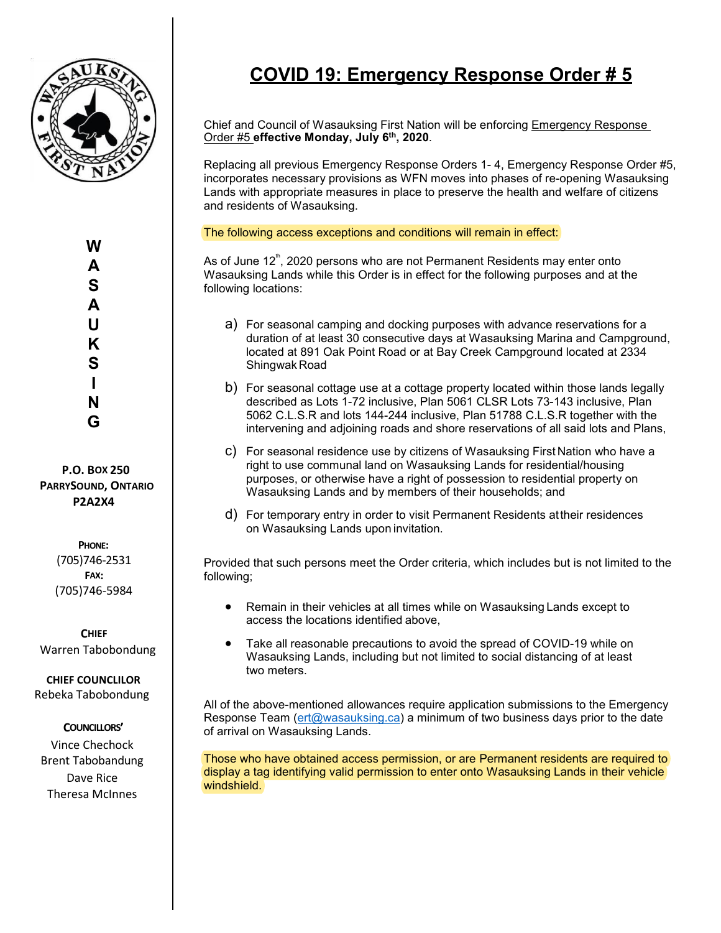

## **COVID 19: Emergency Response Order # 5**

Chief and Council of Wasauksing First Nation will be enforcing Emergency Response Order #5 **effective Monday, July 6th, 2020**.

Replacing all previous Emergency Response Orders 1- 4, Emergency Response Order #5, incorporates necessary provisions as WFN moves into phases of re-opening Wasauksing Lands with appropriate measures in place to preserve the health and welfare of citizens and residents of Wasauksing.

The following access exceptions and conditions will remain in effect:

As of June 12 $^{\text{\tiny{\textsf{th}}}}$ , 2020 persons who are not Permanent Residents may enter onto Wasauksing Lands while this Order is in effect for the following purposes and at the following locations:

- a) For seasonal camping and docking purposes with advance reservations for a duration of at least 30 consecutive days at Wasauksing Marina and Campground, located at 891 Oak Point Road or at Bay Creek Campground located at 2334 Shingwak Road
- b) For seasonal cottage use at a cottage property located within those lands legally described as Lots 1-72 inclusive, Plan 5061 CLSR Lots 73-143 inclusive, Plan 5062 C.L.S.R and lots 144-244 inclusive, Plan 51788 C.L.S.R together with the intervening and adjoining roads and shore reservations of all said lots and Plans,
- c) For seasonal residence use by citizens of Wasauksing First Nation who have a right to use communal land on Wasauksing Lands for residential/housing purposes, or otherwise have a right of possession to residential property on Wasauksing Lands and by members of their households; and
- d) For temporary entry in order to visit Permanent Residents attheir residences on Wasauksing Lands upon invitation.

Provided that such persons meet the Order criteria, which includes but is not limited to the following;

- Remain in their vehicles at all times while on Wasauksing Lands except to access the locations identified above,
- Take all reasonable precautions to avoid the spread of COVID-19 while on Wasauksing Lands, including but not limited to social distancing of at least two meters.

All of the above-mentioned allowances require application submissions to the Emergency Response Team (ert@wasauksing.ca) a minimum of two business days prior to the date of arrival on Wasauksing Lands.

Those who have obtained access permission, or are Permanent residents are required to display a tag identifying valid permission to enter onto Wasauksing Lands in their vehicle windshield.

**W A S A U K S I N G**

**P.O. BOX 250 PARRYSOUND, ONTARIO P2A2X4**

> **PHONE:**  (705)746-2531 **FAX:** (705)746-5984

**CHIEF** Warren Tabobondung

**CHIEF COUNCLILOR** Rebeka Tabobondung

## **COUNCILLORS'**

Vince Chechock Brent Tabobandung Dave Rice Theresa McInnes